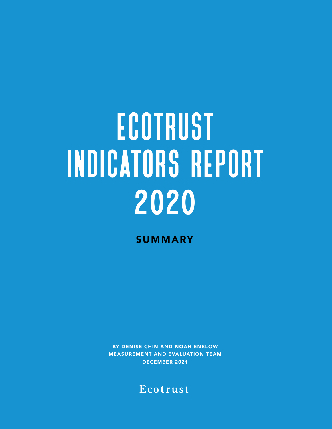# **ECOTRUST** indicators report 2020

**SUMMARY** 

BY DENISE CHIN AND NOAH ENELOW MEASUREMENT AND EVALUATION TEAM DECEMBER 2021

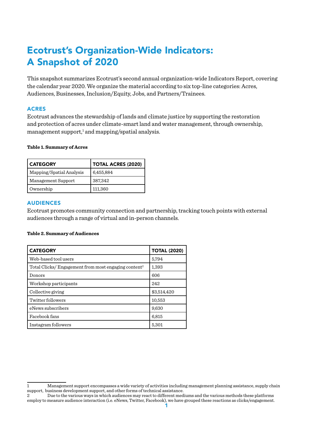# Ecotrust's Organization-Wide Indicators: A Snapshot of 2020

This snapshot summarizes Ecotrust's second annual organization-wide Indicators Report, covering the calendar year 2020. We organize the material according to six top-line categories: Acres, Audiences, Businesses, Inclusion/Equity, Jobs, and Partners/Trainees.

# ACRES

Ecotrust advances the stewardship of lands and climate justice by supporting the restoration and protection of acres under climate-smart land and water management, through ownership, management support, $1$  and mapping/spatial analysis.

#### **Table 1. Summary of Acres**

| <b>CATEGORY</b>          | <b>TOTAL ACRES (2020)</b> |  |  |
|--------------------------|---------------------------|--|--|
| Mapping/Spatial Analysis | 6,455,884                 |  |  |
| Management Support       | 387,342                   |  |  |
| Ownership                | 111,360                   |  |  |

# AUDIENCES

Ecotrust promotes community connection and partnership, tracking touch points with external audiences through a range of virtual and in-person channels.

#### **Table 2. Summary of Audiences**

| <b>CATEGORY</b>                                                 | <b>TOTAL (2020)</b> |  |
|-----------------------------------------------------------------|---------------------|--|
| Web-based tool users                                            | 5,794               |  |
| Total Clicks/Engagement from most engaging content <sup>2</sup> | 1,393               |  |
| Donors                                                          | 606                 |  |
| Workshop participants                                           | 242                 |  |
| Collective giving                                               | \$3,514,420         |  |
| Twitter followers                                               | 10,553              |  |
| eNews subscribers                                               | 9,630               |  |
| Facebook fans                                                   | 6,815               |  |
| Instagram followers                                             | 5,301               |  |

<sup>1</sup> Management support encompasses a wide variety of activities including management planning assistance, supply chain support, business development support, and other forms of technical assistance.

<sup>2</sup> Due to the various ways in which audiences may react to different mediums and the various methods these platforms employ to measure audience interaction (i.e. eNews, Twitter, Facebook), we have grouped these reactions as clicks/engagement.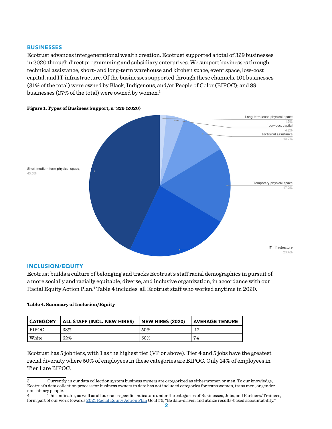### BUSINESSES

Ecotrust advances intergenerational wealth creation. Ecotrust supported a total of 329 businesses in 2020 through direct programming and subsidiary enterprises. We support businesses through technical assistance, short- and long-term warehouse and kitchen space, event space, low-cost capital, and IT infrastructure. Of the businesses supported through these channels, 101 businesses (31% of the total) were owned by Black, Indigenous, and/or People of Color (BIPOC); and 89 businesses (27% of the total) were owned by women.3



#### **Figure 1. Types of Business Support, n=329 (2020)**

#### INCLUSION/EQUITY

Ecotrust builds a culture of belonging and tracks Ecotrust's staff racial demographics in pursuit of a more socially and racially equitable, diverse, and inclusive organization, in accordance with our Racial Equity Action Plan.4 Table 4 includes all Ecotrust staff who worked anytime in 2020.

#### **Table 4. Summary of Inclusion/Equity**

| <b>CATEGORY</b> | <b>ALL STAFF (INCL. NEW HIRES)</b> | NEW HIRES (2020) | AVERAGE TENURE |
|-----------------|------------------------------------|------------------|----------------|
| <b>BIPOC</b>    | 38%                                | 50%              | 2.7            |
| White           | 62%                                | 50%              | 7.4            |

Ecotrust has 5 job tiers, with 1 as the highest tier (VP or above). Tier 4 and 5 jobs have the greatest racial diversity where 50% of employees in these categories are BIPOC. Only 14% of employees in Tier 1 are BIPOC.

4 This indicator, as well as all our race-specific indicators under the categories of Businesses, Jobs, and Partners/Trainees, form part of our work towards [2021 Racial Equity Action Plan](https://docs.google.com/document/d/1ZSua2MvOsbfCxZB_WbSEev4ozpA41tJ0y0yLF-P9bdw/edit#heading=h.t3ruk1fptsu2) Goal #5, "Be data-driven and utilize results-based accountability."

<sup>3</sup> Currently, in our data collection system business owners are categorized as either women or men. To our knowledge, Ecotrust's data collection process for business owners to date has not included categories for trans women, trans men, or gender non-binary people.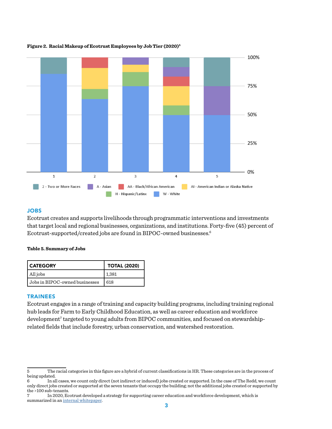

#### **Figure 2. Racial Makeup of Ecotrust Employees by Job Tier (2020)5**

## JOBS

Ecotrust creates and supports livelihoods through programmatic interventions and investments that target local and regional businesses, organizations, and institutions. Forty-five (45) percent of Ecotrust-supported/created jobs are found in BIPOC-owned businesses.6

#### **Table 5. Summary of Jobs**

| <b>CATEGORY</b>                | <b>TOTAL (2020)</b> |  |
|--------------------------------|---------------------|--|
| All jobs                       | 1,381               |  |
| Jobs in BIPOC-owned businesses | 618                 |  |

#### TRAINEES

Ecotrust engages in a range of training and capacity building programs, including training regional hub leads for Farm to Early Childhood Education, as well as career education and workforce development<sup>7</sup> targeted to young adults from BIPOC communities, and focused on stewardshiprelated fields that include forestry, urban conservation, and watershed restoration.

<sup>5</sup> The racial categories in this figure are a hybrid of current classifications in HR. These categories are in the process of being updated.

<sup>6</sup> In all cases, we count only direct (not indirect or induced) jobs created or supported. In the case of The Redd, we count only direct jobs created or supported at the seven tenants that occupy the building; not the additional jobs created or supported by the >100 sub-tenants.

<sup>7</sup> In 2020, Ecotrust developed a strategy for supporting career education and workforce development, which is summarized in an [internal whitepaper.](https://docs.google.com/document/d/12TI3H3Z1Lkh3PPJgK2uz8eOF_1ZkTRhe3gQ3G2cLLN4/edit)